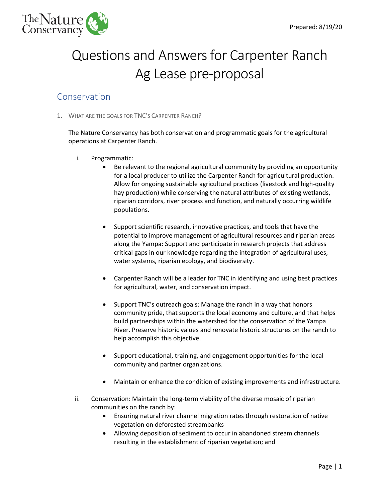

# Questions and Answers for Carpenter Ranch Ag Lease pre-proposal

### Conservation

1. WHAT ARE THE GOALS FOR TNC'S CARPENTER RANCH?

The Nature Conservancy has both conservation and programmatic goals for the agricultural operations at Carpenter Ranch.

- i. Programmatic:
	- Be relevant to the regional agricultural community by providing an opportunity for a local producer to utilize the Carpenter Ranch for agricultural production. Allow for ongoing sustainable agricultural practices (livestock and high-quality hay production) while conserving the natural attributes of existing wetlands, riparian corridors, river process and function, and naturally occurring wildlife populations.
	- Support scientific research, innovative practices, and tools that have the potential to improve management of agricultural resources and riparian areas along the Yampa: Support and participate in research projects that address critical gaps in our knowledge regarding the integration of agricultural uses, water systems, riparian ecology, and biodiversity.
	- Carpenter Ranch will be a leader for TNC in identifying and using best practices for agricultural, water, and conservation impact.
	- Support TNC's outreach goals: Manage the ranch in a way that honors community pride, that supports the local economy and culture, and that helps build partnerships within the watershed for the conservation of the Yampa River. Preserve historic values and renovate historic structures on the ranch to help accomplish this objective.
	- Support educational, training, and engagement opportunities for the local community and partner organizations.
	- Maintain or enhance the condition of existing improvements and infrastructure.
- ii. Conservation: Maintain the long-term viability of the diverse mosaic of riparian communities on the ranch by:
	- Ensuring natural river channel migration rates through restoration of native vegetation on deforested streambanks
	- Allowing deposition of sediment to occur in abandoned stream channels resulting in the establishment of riparian vegetation; and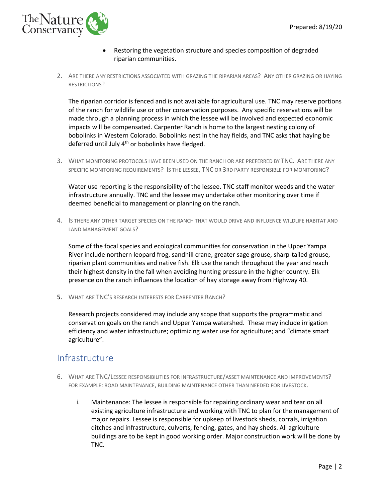

- Restoring the vegetation structure and species composition of degraded riparian communities.
- 2. ARE THERE ANY RESTRICTIONS ASSOCIATED WITH GRAZING THE RIPARIAN AREAS? ANY OTHER GRAZING OR HAYING RESTRICTIONS?

The riparian corridor is fenced and is not available for agricultural use. TNC may reserve portions of the ranch for wildlife use or other conservation purposes. Any specific reservations will be made through a planning process in which the lessee will be involved and expected economic impacts will be compensated. Carpenter Ranch is home to the largest nesting colony of bobolinks in Western Colorado. Bobolinks nest in the hay fields, and TNC asks that haying be deferred until July 4<sup>th</sup> or bobolinks have fledged.

3. WHAT MONITORING PROTOCOLS HAVE BEEN USED ON THE RANCH OR ARE PREFERRED BY TNC. ARE THERE ANY SPECIFIC MONITORING REQUIREMENTS? IS THE LESSEE, TNC OR 3RD PARTY RESPONSIBLE FOR MONITORING?

Water use reporting is the responsibility of the lessee. TNC staff monitor weeds and the water infrastructure annually. TNC and the lessee may undertake other monitoring over time if deemed beneficial to management or planning on the ranch.

4. IS THERE ANY OTHER TARGET SPECIES ON THE RANCH THAT WOULD DRIVE AND INFLUENCE WILDLIFE HABITAT AND LAND MANAGEMENT GOALS?

Some of the focal species and ecological communities for conservation in the Upper Yampa River include northern leopard frog, sandhill crane, greater sage grouse, sharp-tailed grouse, riparian plant communities and native fish. Elk use the ranch throughout the year and reach their highest density in the fall when avoiding hunting pressure in the higher country. Elk presence on the ranch influences the location of hay storage away from Highway 40.

5. WHAT ARE TNC'S RESEARCH INTERESTS FOR CARPENTER RANCH?

Research projects considered may include any scope that supports the programmatic and conservation goals on the ranch and Upper Yampa watershed. These may include irrigation efficiency and water infrastructure; optimizing water use for agriculture; and "climate smart agriculture".

## Infrastructure

- 6. WHAT ARE TNC/LESSEE RESPONSIBILITIES FOR INFRASTRUCTURE/ASSET MAINTENANCE AND IMPROVEMENTS? FOR EXAMPLE: ROAD MAINTENANCE, BUILDING MAINTENANCE OTHER THAN NEEDED FOR LIVESTOCK.
	- i. Maintenance: The lessee is responsible for repairing ordinary wear and tear on all existing agriculture infrastructure and working with TNC to plan for the management of major repairs. Lessee is responsible for upkeep of livestock sheds, corrals, irrigation ditches and infrastructure, culverts, fencing, gates, and hay sheds. All agriculture buildings are to be kept in good working order. Major construction work will be done by TNC.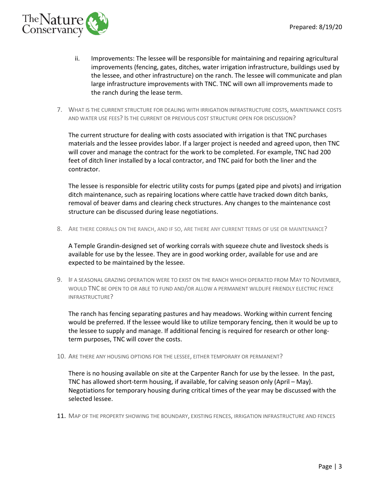

- ii. Improvements: The lessee will be responsible for maintaining and repairing agricultural improvements (fencing, gates, ditches, water irrigation infrastructure, buildings used by the lessee, and other infrastructure) on the ranch. The lessee will communicate and plan large infrastructure improvements with TNC. TNC will own all improvements made to the ranch during the lease term.
- 7. WHAT IS THE CURRENT STRUCTURE FOR DEALING WITH IRRIGATION INFRASTRUCTURE COSTS, MAINTENANCE COSTS AND WATER USE FEES? IS THE CURRENT OR PREVIOUS COST STRUCTURE OPEN FOR DISCUSSION?

The current structure for dealing with costs associated with irrigation is that TNC purchases materials and the lessee provides labor. If a larger project is needed and agreed upon, then TNC will cover and manage the contract for the work to be completed. For example, TNC had 200 feet of ditch liner installed by a local contractor, and TNC paid for both the liner and the contractor.

The lessee is responsible for electric utility costs for pumps (gated pipe and pivots) and irrigation ditch maintenance, such as repairing locations where cattle have tracked down ditch banks, removal of beaver dams and clearing check structures. Any changes to the maintenance cost structure can be discussed during lease negotiations.

8. ARE THERE CORRALS ON THE RANCH, AND IF SO, ARE THERE ANY CURRENT TERMS OF USE OR MAINTENANCE?

A Temple Grandin-designed set of working corrals with squeeze chute and livestock sheds is available for use by the lessee. They are in good working order, available for use and are expected to be maintained by the lessee.

9. IF A SEASONAL GRAZING OPERATION WERE TO EXIST ON THE RANCH WHICH OPERATED FROM MAY TO NOVEMBER, WOULD TNC BE OPEN TO OR ABLE TO FUND AND/OR ALLOW A PERMANENT WILDLIFE FRIENDLY ELECTRIC FENCE INFRASTRUCTURE?

The ranch has fencing separating pastures and hay meadows. Working within current fencing would be preferred. If the lessee would like to utilize temporary fencing, then it would be up to the lessee to supply and manage. If additional fencing is required for research or other longterm purposes, TNC will cover the costs.

10. ARE THERE ANY HOUSING OPTIONS FOR THE LESSEE, EITHER TEMPORARY OR PERMANENT?

There is no housing available on site at the Carpenter Ranch for use by the lessee. In the past, TNC has allowed short-term housing, if available, for calving season only (April – May). Negotiations for temporary housing during critical times of the year may be discussed with the selected lessee.

11. MAP OF THE PROPERTY SHOWING THE BOUNDARY, EXISTING FENCES, IRRIGATION INFRASTRUCTURE AND FENCES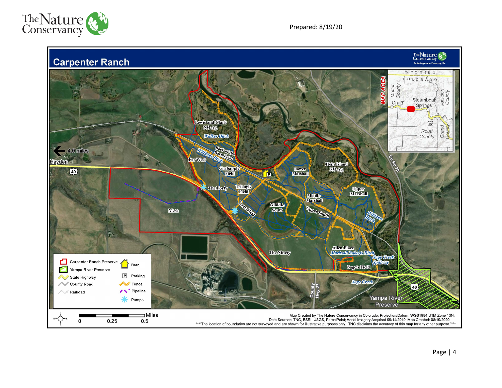

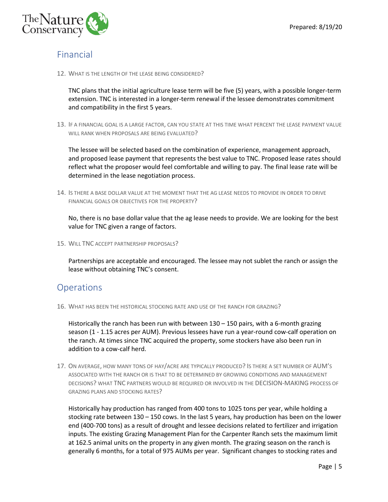

### Financial

12. WHAT IS THE LENGTH OF THE LEASE BEING CONSIDERED?

TNC plans that the initial agriculture lease term will be five (5) years, with a possible longer-term extension. TNC is interested in a longer-term renewal if the lessee demonstrates commitment and compatibility in the first 5 years.

13. IF A FINANCIAL GOAL IS A LARGE FACTOR, CAN YOU STATE AT THIS TIME WHAT PERCENT THE LEASE PAYMENT VALUE WILL RANK WHEN PROPOSALS ARE BEING EVALUATED?

The lessee will be selected based on the combination of experience, management approach, and proposed lease payment that represents the best value to TNC. Proposed lease rates should reflect what the proposer would feel comfortable and willing to pay. The final lease rate will be determined in the lease negotiation process.

14. IS THERE A BASE DOLLAR VALUE AT THE MOMENT THAT THE AG LEASE NEEDS TO PROVIDE IN ORDER TO DRIVE FINANCIAL GOALS OR OBJECTIVES FOR THE PROPERTY?

No, there is no base dollar value that the ag lease needs to provide. We are looking for the best value for TNC given a range of factors.

15. WILL TNC ACCEPT PARTNERSHIP PROPOSALS?

Partnerships are acceptable and encouraged. The lessee may not sublet the ranch or assign the lease without obtaining TNC's consent.

#### Operations

16. WHAT HAS BEEN THE HISTORICAL STOCKING RATE AND USE OF THE RANCH FOR GRAZING?

Historically the ranch has been run with between 130 – 150 pairs, with a 6-month grazing season (1 - 1.15 acres per AUM). Previous lessees have run a year-round cow-calf operation on the ranch. At times since TNC acquired the property, some stockers have also been run in addition to a cow-calf herd.

17. ON AVERAGE, HOW MANY TONS OF HAY/ACRE ARE TYPICALLY PRODUCED? IS THERE A SET NUMBER OF AUM'S ASSOCIATED WITH THE RANCH OR IS THAT TO BE DETERMINED BY GROWING CONDITIONS AND MANAGEMENT DECISIONS? WHAT TNC PARTNERS WOULD BE REQUIRED OR INVOLVED IN THE DECISION-MAKING PROCESS OF GRAZING PLANS AND STOCKING RATES?

Historically hay production has ranged from 400 tons to 1025 tons per year, while holding a stocking rate between 130 – 150 cows. In the last 5 years, hay production has been on the lower end (400-700 tons) as a result of drought and lessee decisions related to fertilizer and irrigation inputs. The existing Grazing Management Plan for the Carpenter Ranch sets the maximum limit at 162.5 animal units on the property in any given month. The grazing season on the ranch is generally 6 months, for a total of 975 AUMs per year. Significant changes to stocking rates and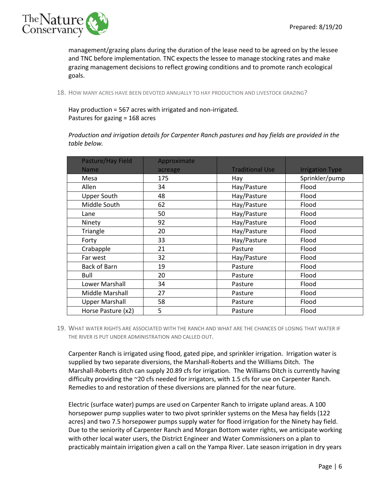

management/grazing plans during the duration of the lease need to be agreed on by the lessee and TNC before implementation. TNC expects the lessee to manage stocking rates and make grazing management decisions to reflect growing conditions and to promote ranch ecological goals.

18. HOW MANY ACRES HAVE BEEN DEVOTED ANNUALLY TO HAY PRODUCTION AND LIVESTOCK GRAZING?

Hay production = 567 acres with irrigated and non-irrigated. Pastures for gazing = 168 acres

*Production and irrigation details for Carpenter Ranch pastures and hay fields are provided in the table below.*

| Pasture/Hay Field     | Approximate |                        |                        |
|-----------------------|-------------|------------------------|------------------------|
| <b>Name</b>           | acreage     | <b>Traditional Use</b> | <b>Irrigation Type</b> |
| Mesa                  | 175         | Hay                    | Sprinkler/pump         |
| Allen                 | 34          | Hay/Pasture            | Flood                  |
| <b>Upper South</b>    | 48          | Hay/Pasture            | Flood                  |
| Middle South          | 62          | Hay/Pasture            | Flood                  |
| Lane                  | 50          | Hay/Pasture            | Flood                  |
| Ninety                | 92          | Hay/Pasture            | Flood                  |
| Triangle              | 20          | Hay/Pasture            | Flood                  |
| Forty                 | 33          | Hay/Pasture            | Flood                  |
| Crabapple             | 21          | Pasture                | Flood                  |
| Far west              | 32          | Hay/Pasture            | Flood                  |
| <b>Back of Barn</b>   | 19          | Pasture                | Flood                  |
| Bull                  | 20          | Pasture                | Flood                  |
| Lower Marshall        | 34          | Pasture                | Flood                  |
| Middle Marshall       | 27          | Pasture                | Flood                  |
| <b>Upper Marshall</b> | 58          | Pasture                | Flood                  |
| Horse Pasture (x2)    | 5           | Pasture                | Flood                  |

19. WHAT WATER RIGHTS ARE ASSOCIATED WITH THE RANCH AND WHAT ARE THE CHANCES OF LOSING THAT WATER IF THE RIVER IS PUT UNDER ADMINISTRATION AND CALLED OUT.

Carpenter Ranch is irrigated using flood, gated pipe, and sprinkler irrigation. Irrigation water is supplied by two separate diversions, the Marshall-Roberts and the Williams Ditch. The Marshall-Roberts ditch can supply 20.89 cfs for irrigation. The Williams Ditch is currently having difficulty providing the ~20 cfs needed for irrigators, with 1.5 cfs for use on Carpenter Ranch. Remedies to and restoration of these diversions are planned for the near future.

Electric (surface water) pumps are used on Carpenter Ranch to irrigate upland areas. A 100 horsepower pump supplies water to two pivot sprinkler systems on the Mesa hay fields (122 acres) and two 7.5 horsepower pumps supply water for flood irrigation for the Ninety hay field. Due to the seniority of Carpenter Ranch and Morgan Bottom water rights, we anticipate working with other local water users, the District Engineer and Water Commissioners on a plan to practicably maintain irrigation given a call on the Yampa River. Late season irrigation in dry years